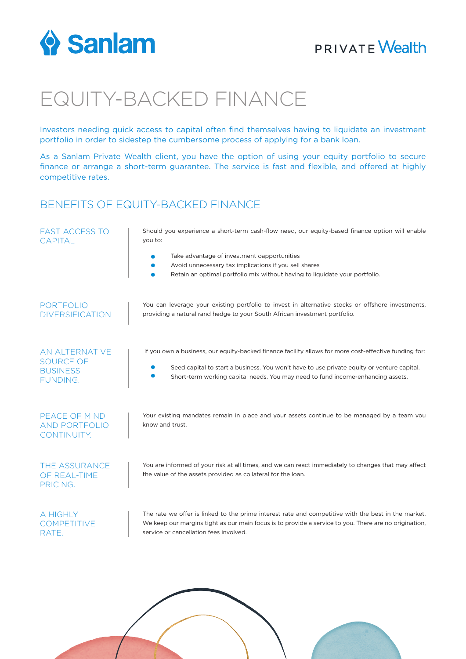

## **PRIVATE Wealth**

# EQUITY-BACKED FINANCE

Investors needing quick access to capital often find themselves having to liquidate an investment portfolio in order to sidestep the cumbersome process of applying for a bank loan.

As a Sanlam Private Wealth client, you have the option of using your equity portfolio to secure finance or arrange a short-term guarantee. The service is fast and flexible, and offered at highly competitive rates.

### BENEFITS OF EQUITY-BACKED FINANCE

| <b>FAST ACCESS TO</b><br><b>CAPITAL</b>                                  | Should you experience a short-term cash-flow need, our equity-based finance option will enable<br>you to:                                                                                                                                                                              |
|--------------------------------------------------------------------------|----------------------------------------------------------------------------------------------------------------------------------------------------------------------------------------------------------------------------------------------------------------------------------------|
|                                                                          | Take advantage of investment oapportunities<br>Avoid unnecessary tax implications if you sell shares<br>Retain an optimal portfolio mix without having to liquidate your portfolio.                                                                                                    |
| <b>PORTFOLIO</b><br><b>DIVERSIFICATION</b>                               | You can leverage your existing portfolio to invest in alternative stocks or offshore investments,<br>providing a natural rand hedge to your South African investment portfolio.                                                                                                        |
| AN ALTERNATIVE<br><b>SOURCE OF</b><br><b>BUSINESS</b><br><b>FUNDING.</b> | If you own a business, our equity-backed finance facility allows for more cost-effective funding for:<br>Seed capital to start a business. You won't have to use private equity or venture capital.<br>Short-term working capital needs. You may need to fund income-enhancing assets. |
| PEACE OF MIND<br><b>AND PORTFOLIO</b><br>CONTINUITY.                     | Your existing mandates remain in place and your assets continue to be managed by a team you<br>know and trust.                                                                                                                                                                         |
| THE ASSURANCE<br>OF REAL-TIME<br>PRICING.                                | You are informed of your risk at all times, and we can react immediately to changes that may affect<br>the value of the assets provided as collateral for the loan.                                                                                                                    |
| A HIGHLY<br><b>COMPETITIVE</b><br>RATE.                                  | The rate we offer is linked to the prime interest rate and competitive with the best in the market.<br>We keep our margins tight as our main focus is to provide a service to you. There are no origination,<br>service or cancellation fees involved.                                 |